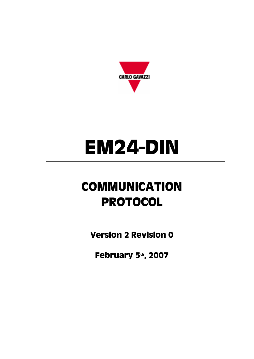

# **EM24-DIN**

# **COMMUNICATION PROTOCOL**

**Version 2 Revision 0**

**February 5th, 2007**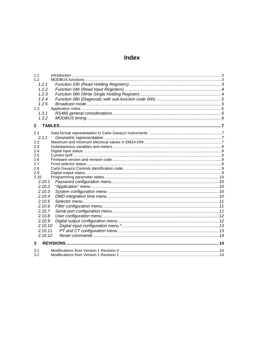# Index

| 1.1                |  |
|--------------------|--|
| 1.2                |  |
| 1.2.1              |  |
| 1.2.2              |  |
| 1.2.3              |  |
| 1.2.4              |  |
| 1.2.5              |  |
| 1.3                |  |
| 1.3.1              |  |
| 1.3.2              |  |
| $\mathbf{2}$       |  |
| 2.1                |  |
| 2.1.1              |  |
| 2.2                |  |
| 2.3                |  |
| 2.4                |  |
| 2.5                |  |
| 2.6                |  |
| 2.7<br>2.8         |  |
| 2.9                |  |
| 2.10               |  |
| 2.10.1             |  |
| 2.10.2             |  |
| 2.10.3             |  |
| 2.10.4             |  |
| 2.10.5             |  |
| 2.10.6             |  |
| 2.10.7             |  |
| 2.10.8             |  |
| 2.10.9             |  |
| 2.10.10            |  |
|                    |  |
| 2.10.11<br>2.10.12 |  |
|                    |  |
| 3                  |  |
| 3.1                |  |
| 3.2                |  |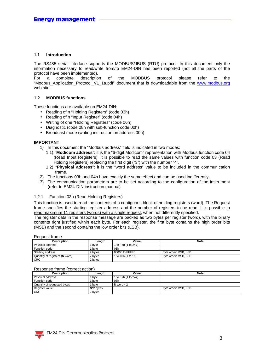#### **1.1 Introduction**

The RS485 serial interface supports the MODBUS/JBUS (RTU) protocol. In this document only the information necessary to read/write from/to EM24-DIN has been reported (not all the parts of the protocol have been implemented).

For a complete description of the MODBUS protocol please refer to the "Modbus\_Application\_Protocol\_V1\_1a.pdf" document that is downloadable from the www.modbus.org web site.

#### **1.2 MODBUS functions**

These functions are available on EM24-DIN:

- Reading of n "Holding Registers" (code 03h)
- Reading of n "Input Register" (code 04h)
- Writing of one "Holding Registers" (code 06h)
- Diagnostic (code 08h with sub-function code 00h)
- Broadcast mode (writing instruction on address 00h)

#### **IMPORTANT:**

- 1) In this document the "Modbus address" field is indicated in two modes:
	- 1.1) "**Modicom address**": it is the "6-digit Modicom" representation with Modbus function code 04 (Read Input Registers). It is possible to read the same values with function code 03 (Read Holding Registers) replacing the first digit ("3") with the number "4".
	- 1.2) "**Physical address**": it is the "word address" value to be included in the communication frame.
- 2) The functions 03h and 04h have exactly the same effect and can be used indifferently.
- 3) The communication parameters are to be set according to the configuration of the instrument (refer to EM24-DIN instruction manual)

#### 1.2.1 Function 03h (Read Holding Registers)

This function is used to read the contents of a contiguous block of holding registers (word). The Request frame specifies the starting register address and the number of registers to be read. It is possible to read maximum 11 registers (words) with a single request, when not differently specified.

The register data in the response message are packed as two bytes per register (word), with the binary contents right justified within each byte. For each register, the first byte contains the high order bits (MSB) and the second contains the low order bits (LSB).

Request frame

| <b>Description</b>             | Lenath  | Value               | <b>Note</b>          |  |  |
|--------------------------------|---------|---------------------|----------------------|--|--|
| Physical address               | byte    | 1 to F7h (1 to 247) |                      |  |  |
| Function code                  | byte    | 03h                 |                      |  |  |
| Starting address               | 2 bvtes | 0000h to FFFFh      | Byte order: MSB, LSB |  |  |
| Quantity of registers (N word) | 2 bvtes | 1 to 10h (1 to 11)  | Byte order: MSB, LSB |  |  |
| <b>CRC</b>                     | 2 bytes |                     |                      |  |  |

#### Response frame (correct action)

| <b>Description</b>          | ∟ength        | Value               | <b>Note</b>          |
|-----------------------------|---------------|---------------------|----------------------|
| Physical address            | byte          | 1 to F7h (1 to 247) |                      |
| Function code               | byte          | 03h                 |                      |
| Quantity of requested bytes | byte          | N word $*$ 2        |                      |
| Register value              | $N^*$ 2 bytes |                     | Byte order: MSB, LSB |
| <b>CRC</b>                  | 2 bvtes       |                     |                      |

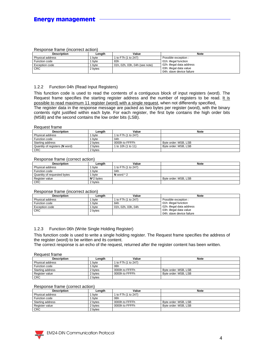#### Response frame (incorrect action)

| Description             | Lenath  | Value                         | <b>Note</b>               |
|-------------------------|---------|-------------------------------|---------------------------|
| <b>Physical address</b> | byte    | 1 to F7h (1 to 247)           | Possible exception :      |
| Function code           | bvte    | 83h                           | 01h: illegal function     |
| Exception code          | bvte    | 01h, 02h, 03h, 04h (see note) | 02h: illegal data address |
| <b>CRC</b>              | 2 bytes |                               | 03h: illegal data value   |
|                         |         |                               | 04h: slave device failure |

#### 1.2.2 Function 04h (Read Input Registers)

This function code is used to read the contents of a contiguous block of input registers (word). The Request frame specifies the starting register address and the number of registers to be read. It is possible to read maximum 11 register (word) with a single request, when not differently specified. The register data in the response message are packed as two bytes per register (word), with the binary contents right justified within each byte. For each register, the first byte contains the high order bits (MSB) and the second contains the low order bits (LSB).

#### Request frame

| <b>Description</b>             | Lenath  | Value               | <b>Note</b>          |
|--------------------------------|---------|---------------------|----------------------|
| Physical address               | byte    | 1 to F7h (1 to 247) |                      |
| Function code                  | bvte    | 04h                 |                      |
| Starting address               | 2 bytes | 0000h to FFFFh      | Byte order: MSB, LSB |
| Quantity of registers (N word) | 2 bytes | 1 to 10h (1 to 11)  | Byte order: MSB, LSB |
| <b>CRC</b>                     | 2 bytes |                     |                      |

#### Response frame (correct action)

| <b>Description</b>          | Lenath        | Value               | <b>Note</b>          |
|-----------------------------|---------------|---------------------|----------------------|
| Physical address            | bvte          | 1 to F7h (1 to 247) |                      |
| Function code               | byte          | 04h                 |                      |
| Quantity of requested bytes | byte          | N word $*$ 2        |                      |
| Register value              | $N^*$ 2 bytes |                     | Byte order: MSB, LSB |
| <b>CRC</b>                  | 2 bytes       |                     |                      |

#### Response frame (incorrect action)

| <b>Description</b> | Lenath  | Value               | <b>Note</b>               |
|--------------------|---------|---------------------|---------------------------|
| Physical address   | byte    | 1 to F7h (1 to 247) | Possible exception :      |
| Function code      | byte    | 84h                 | 01h: illegal function     |
| Exception code     | byte    | 01h, 02h, 03h, 04h  | 02h: illegal data address |
| <b>CRC</b>         | 2 bytes |                     | 03h: illegal data value   |
|                    |         |                     | 04h: slave device failure |

#### 1.2.3 Function 06h (Write Single Holding Register)

This function code is used to write a single holding register. The Request frame specifies the address of the register (word) to be written and its content.

The correct response is an echo of the request, returned after the register content has been written.

#### Request frame

| Description      | Lenath  | Value               | <b>Note</b>          |
|------------------|---------|---------------------|----------------------|
| Physical address | byte    | 1 to F7h (1 to 247) |                      |
| Function code    | byte    | 06h                 |                      |
| Starting address | 2 bytes | 0000h to FFFFh      | Byte order: MSB, LSB |
| Register value   | 2 bytes | 0000h to FFFFh      | Byte order: MSB, LSB |
| <b>CRC</b>       | 2 bytes |                     |                      |

#### Response frame (correct action)

| <b>Description</b> | Lenath  | Value               | <b>Note</b>          |
|--------------------|---------|---------------------|----------------------|
| Physical address   | byte    | 1 to F7h (1 to 247) |                      |
| Function code      | byte    | 06h                 |                      |
| Starting address   | 2 bytes | 0000h to FFFFh      | Byte order: MSB, LSB |
| Register value     | 2 bvtes | 0000h to FFFFh      | Byte order: MSB, LSB |
| <b>CRC</b>         | 2 bvtes |                     |                      |

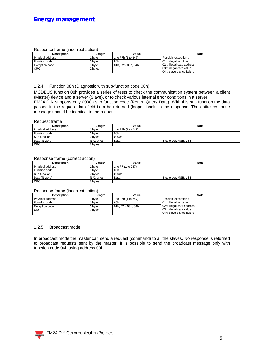#### Response frame (incorrect action)

| <b>Description</b>    | Lenath  | Value               | <b>Note</b>               |
|-----------------------|---------|---------------------|---------------------------|
| Physical address      | byte    | 1 to F7h (1 to 247) | Possible exception :      |
| Function code         | byte    | 86h                 | 01h: illegal function     |
| <b>Exception code</b> | byte    | 01h, 02h, 03h, 04h  | 02h: illegal data address |
| <b>CRC</b>            | 2 bytes |                     | 03h: illegal data value   |
|                       |         |                     | 04h: slave device failure |

#### 1.2.4 Function 08h (Diagnostic with sub-function code 00h)

MODBUS function 08h provides a series of tests to check the communication system between a client (Master) device and a server (Slave), or to check various internal error conditions in a server. EM24-DIN supports only 0000h sub-function code (Return Query Data). With this sub-function the data passed in the request data field is to be returned (looped back) in the response. The entire response message should be identical to the request.

#### Request frame

| <b>Description</b> | Length        | Value               | <b>Note</b>          |
|--------------------|---------------|---------------------|----------------------|
| Physical address   | byte          | 1 to F7h (1 to 247) |                      |
| Function code      | bvte          | 08h                 |                      |
| Sub-function       | 2 bytes       | 0000h               |                      |
| Data (N word)      | $N^*$ 2 bytes | Data                | Byte order: MSB, LSB |
| <b>CRC</b>         | 2 bytes       |                     |                      |

#### Response frame (correct action)

| <b>Description</b> | Length        | Value              | <b>Note</b>          |
|--------------------|---------------|--------------------|----------------------|
| Physical address   | byte          | 1 to F7 (1 to 247) |                      |
| Function code      | byte          | 08h                |                      |
| Sub-function       | 2 bytes       | 0000h              |                      |
| Data (N word)      | $N^*$ 2 bytes | Data               | Byte order: MSB, LSB |
| <b>CRC</b>         | 2 bytes       |                    |                      |

#### Response frame (incorrect action)

| <b>Description</b>    | Lenath  | Value                | <b>Note</b>               |  |  |  |  |
|-----------------------|---------|----------------------|---------------------------|--|--|--|--|
| Physical address      | byte    | 1 to F7h (1 to 247)  | Possible exception :      |  |  |  |  |
| Function code         | byte    | 88h                  | 01h: illegal function     |  |  |  |  |
| <b>Exception code</b> | bvte    | l 01h. 02h. 03h. 04h | 02h: illegal data address |  |  |  |  |
| <b>CRC</b>            | 2 bytes |                      | 03h: illegal data value   |  |  |  |  |
|                       |         |                      | 04h: slave device failure |  |  |  |  |

#### 1.2.5 Broadcast mode

In broadcast mode the master can send a request (command) to all the slaves. No response is returned to broadcast requests sent by the master. It is possible to send the broadcast message only with function code 06h using address 00h.

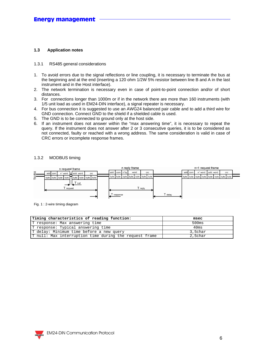#### **1.3 Application notes**

#### 1.3.1 RS485 general considerations

- 1. To avoid errors due to the signal reflections or line coupling, it is necessary to terminate the bus at the beginning and at the end (inserting a 120 ohm 1/2W 5% resistor between line B and A in the last instrument and in the Host interface).
- 2. The network termination is necessary even in case of point-to-point connection and/or of short distances.
- 3. For connections longer than 1000m or if in the network there are more than 160 instruments (with 1/5 unit load as used in EM24-DIN interface), a signal repeater is necessary.
- 4. For bus connection it is suggested to use an AWG24 balanced pair cable and to add a third wire for GND connection. Connect GND to the shield if a shielded cable is used.
- 5. The GND is to be connected to ground only at the host side.
- 6. If an instrument does not answer within the "max answering time", it is necessary to repeat the query. If the instrument does not answer after 2 or 3 consecutive queries, it is to be considered as not connected, faulty or reached with a wrong address. The same consideration is valid in case of CRC errors or incomplete response frames.

#### 1.3.2 MODBUS timing



Fig. 1 : 2-wire timing diagram

| Timing characteristics of reading function:            | msec    |
|--------------------------------------------------------|---------|
| T response: Max answering time                         | 500ms   |
| T response: Typical answering time                     | 40ms    |
| T delay: Minimum time before a new query               | 3,5char |
| T null: Max interruption time during the request frame | 2,5char |

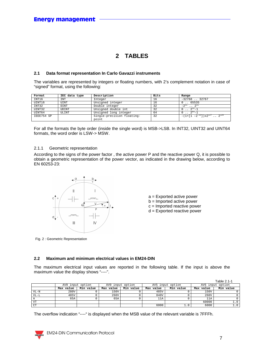## **2 TABLES**

#### **2.1 Data format representation In Carlo Gavazzi instruments**

The variables are represented by integers or floating numbers, with 2's complement notation in case of "signed" format, using the following:

| Format     | IEC data type | Description                | Bits | Range                                        |
|------------|---------------|----------------------------|------|----------------------------------------------|
| INT16      | INT           | Integer                    | 16   | $-32768$ . 32767                             |
| UINT16     | <b>UINT</b>   | Unsigned integer           | 16   | 65535                                        |
| INT32      | <b>DINT</b>   | Double integer             | 32   | 0.31                                         |
| UINT32     | UDINT         | Unsigned double int        | 32   | $2^{32} - 1$                                 |
| UINT64     | ULINT         | Unsigned long integer      | 64   | $2^{b4} - 1$                                 |
| IEEE754 SP |               | Single-precision floating- | 32   | $-(1+[1 -2^{-23}])\times2^{127}$ . $2^{128}$ |
|            |               | point                      |      |                                              |

For all the formats the byte order (inside the single word) is MSB->LSB. In INT32, UINT32 and UINT64 formats, the word order is LSW-> MSW.

#### 2.1.1 Geometric representation

According to the signs of the power factor , the active power P and the reactive power Q, it is possible to obtain a geometric representation of the power vector, as indicated in the drawing below, according to EN 60253-23:



- a = Exported active power
- b = Imported active power
- c = Imported reactive power
- d = Exported reactive power

Fig. 2 : Geometric Representation

#### **2.2 Maximum and minimum electrical values in EM24-DIN**

The maximum electrical input values are reported in the following table. If the input is above the maximum value the display shows "----".

|           |                  |           |                  |           |                  |           |                  | Table 2.1-1 |
|-----------|------------------|-----------|------------------|-----------|------------------|-----------|------------------|-------------|
|           | AV9 input option |           | AVO input option |           | AV5 input option |           | AV6 input option |             |
|           | Max value        | Min value | Max value        | Min value | Max value        | Min value | Max value        | Min value   |
| $VL-N$    | 280V             |           | 150V             |           | 485V             |           | 150V             |             |
| $VI - L$  | 485V             |           | 260V             |           | 840V             |           | 260V             |             |
|           | 65A              |           | 65A              |           | 11A              |           | 11A              |             |
| VT        |                  |           |                  |           |                  |           | 60000            |             |
| <b>CT</b> |                  |           |                  |           | 6000             |           | 6000             | 1.0         |

The overflow indication "----" is displayed when the MSB value of the relevant variable is 7FFFh.

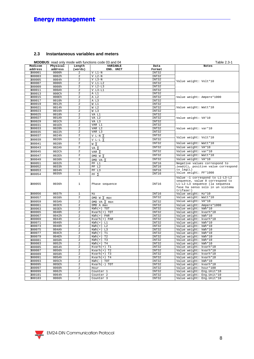#### **2.3 Instantaneous variables and meters**

|                   |                     |                         | <b>MODBUS:</b> read only mode with functions code 03 and 04 |                 | Table 2.3-1                                                                                                                                           |
|-------------------|---------------------|-------------------------|-------------------------------------------------------------|-----------------|-------------------------------------------------------------------------------------------------------------------------------------------------------|
| Modicom           | Physical<br>address | Length                  | <b>VARIABLE</b>                                             | Data            | Notes                                                                                                                                                 |
| address<br>300001 | 0000h               | (words)                 | ENG. UNIT                                                   | Format<br>INT32 |                                                                                                                                                       |
| 300003            | 0002h               | 2<br>2                  | $V L1-N$<br>$V L2-N$                                        | INT32           |                                                                                                                                                       |
| 300005            | 0004h               | $\overline{2}$          | $V L3-N$                                                    | INT32           |                                                                                                                                                       |
| 300007            | 0006h               | $\overline{2}$          | $V L1-L2$                                                   | INT32           | Value weight: Volt*10                                                                                                                                 |
| 300009            | 0008h               | 2                       | $V L2-L3$                                                   | INT32           |                                                                                                                                                       |
| 300011            | 000Ah               | $\overline{\mathbf{c}}$ | $V L3-L1$                                                   | INT32           |                                                                                                                                                       |
| 300013            | 000Ch               | $\overline{2}$          | A L1                                                        | INT32           |                                                                                                                                                       |
| 300015            | 000Eh               | 2                       | A L2                                                        | INT32           | Value weight: Ampere*1000                                                                                                                             |
| 300017            | 0010h               | 2                       | A L3                                                        | INT32           |                                                                                                                                                       |
| 300019            | 0012h               | 2                       | W L1                                                        | INT32           |                                                                                                                                                       |
| 300021            | 0014h               | 2                       | W L2                                                        | INT32           | Value weight: Watt*10                                                                                                                                 |
| 300023            | 0016h               | $\overline{2}$          | W L3                                                        | INT32           |                                                                                                                                                       |
| 300025            | 0018h               | 2                       | VA L1                                                       | INT32           |                                                                                                                                                       |
| 300027            | 001Ah               | $\overline{2}$          | VA L2                                                       | INT32           | Value weight: VA*10                                                                                                                                   |
| 300029            | 001Ch               | 2                       | VA L3                                                       | INT32           |                                                                                                                                                       |
| 300031            | 001Eh               | 2                       | VAR L1                                                      | INT32           |                                                                                                                                                       |
| 300033            | 0020h               | 2                       | VAR L2                                                      | INT32           | Value weight: var*10                                                                                                                                  |
| 300035            | 0022h               | 2                       | VAR L3                                                      | INT32           |                                                                                                                                                       |
| 300037            | 0024h               | $\overline{\mathbf{c}}$ | V L-N $\Sigma$                                              | INT32           |                                                                                                                                                       |
| 300039            | 0026h               | $\overline{\mathbf{c}}$ | V L-L $\Sigma$                                              | INT32           | Value weight: Volt*10                                                                                                                                 |
| 300041            | 0028h               | $\overline{a}$          | wΣ                                                          | INT32           | Value weight: Watt*10                                                                                                                                 |
| 300043            | 002Ah               | $\overline{2}$          |                                                             | INT32           | Value weight: VA*10                                                                                                                                   |
|                   |                     |                         | va Σ                                                        |                 |                                                                                                                                                       |
| 300045            | 002Ch               | 2                       | VAR $\Sigma$                                                | INT32           | Value weight: var*10                                                                                                                                  |
| 300047            | 002Eh               | $\overline{2}$          | DMD W $\Sigma$                                              | INT32           | Value weight: Watt*10                                                                                                                                 |
| 300049            | 0030h               | 2                       | DMD VA $\Sigma$                                             | INT32           | Value weight: VA*10                                                                                                                                   |
| 300051            | 0032h               | 1                       | PF L1                                                       | INT16           | Negative values correspond to                                                                                                                         |
| 300052            | 0033h               | 1                       | PF L2                                                       | INT16           | $lead(C)$ , positive value correspond                                                                                                                 |
| 300053            | 0034h               | $\mathbf{1}$            | PF L3                                                       | INT16           | to $lag(L)$<br>Value weight: PF*1000                                                                                                                  |
| 300054            | 0035h               | $\mathbf{1}$            | $PF \Sigma$                                                 | INT16           |                                                                                                                                                       |
| 300055            | 0036h               | 1                       | Phase sequence                                              | INT16           | Value -1 correspond to L1-L3-L2<br>sequence, value 0 correspond to<br>L1-L2-L3 sequence (la sequenza<br>fase ha senso solo in un sistema<br>trifase!) |
| 300056            | 0037h               | 1                       | Hz                                                          | INT16           | Value weight: Hz*10                                                                                                                                   |
| 300057            | 0038h               | 2                       | DMD $W \Sigma$ max                                          | INT32           | Value weight: Watt*10                                                                                                                                 |
| 300059            | 003Ah               | $\overline{\mathbf{c}}$ | DMD VA $\Sigma$ max                                         | INT32           | Value weight: VA*10                                                                                                                                   |
| 300061            | 003Ch               | 2                       | DMD A max                                                   | INT32           | Value weight: Ampere*1000                                                                                                                             |
| 300063            | 003Eh               | 2                       | $KWh(+)$ TOT                                                | INT32           | Value weight: kWh*10                                                                                                                                  |
| 300065            | 0040h               | 2                       | $Kvarh(+)$ TOT                                              | INT32           | Value weight: kvarh*10                                                                                                                                |
| 300067            | 0042h               | 2                       | $KWh(+)$ PAR                                                | INT32           | Value weight: kWh*10                                                                                                                                  |
| 300069            | 0044h               | 2                       | Kvarh(+) PAR                                                | INT32           | Value weight: kvarh*10                                                                                                                                |
| 300071            | 0046h               | $\overline{a}$          | $KWh(+) L1$                                                 | INT32           | Value weight: kWh*10                                                                                                                                  |
| 300073            | 0048h               | $\overline{2}$          | $KWh(+) L2$                                                 | INT32           | Value weight: kWh*10                                                                                                                                  |
| 300075            | 004Ah               | $\overline{2}$          | $KWh(+) L3$                                                 | INT32           | Value weight: kWh*10                                                                                                                                  |
| 300077            | 004 <sub>Ch</sub>   | 2                       | $KWh (+)$<br>T1                                             | INT32           | Value weight: kWh*10                                                                                                                                  |
| 300079            | 004Eh               | 2                       | $KWh (+)$<br>T <sub>2</sub>                                 | INT32           | Value weight: kWh*10                                                                                                                                  |
| 300081            | 0050h<br>0052h      | 2<br>$\overline{2}$     | T <sub>3</sub><br>$KWh (+)$<br>T <sub>4</sub>               | INT32           | Value weight: kWh*10                                                                                                                                  |
| 300083<br>300085  | 0054h               | 2                       | $KWh (+)$<br>$Kvarh(+)$ Tl                                  | INT32<br>INT32  | Value weight: kWh*10                                                                                                                                  |
| 300087            | 0056h               | $\overline{2}$          | $Kvarh(+)$ T2                                               | INT32           | Value weight: kvarh*10<br>Value weight: kvarh*10                                                                                                      |
| 300089            | 0058h               | $\overline{a}$          |                                                             |                 |                                                                                                                                                       |
| 300091            | 005Ah               | 2                       | $Kvanh(+)$ T3<br>$Kvarh(+)$ T4                              | INT32<br>INT32  | Value weight: kvarh*10<br>Value weight: kvarh*10                                                                                                      |
| 300093            | 005Ch               | 2                       | $KWh(-) TOT$                                                | INT32           | Value weight: kWh*10                                                                                                                                  |
| 300095            | 005Eh               | 2                       | $Kvath(-)$ TOT                                              | INT32           | Value weight: kvarh*10                                                                                                                                |
| 300097            | 0060h               | $\overline{2}$          | Hour                                                        | INT32           | Value weight: hour*100                                                                                                                                |
| 300099            | 0062h               | 2                       | Counter <sub>1</sub>                                        | INT32           | Value weight: Eng.Unit*10                                                                                                                             |
| 300101            | 0064h               | 2                       | Counter <sub>2</sub>                                        | INT32           | Value weight: Eng.Unit*10                                                                                                                             |
| 300103            | 0066h               | 2                       | Counter <sub>3</sub>                                        | INT32           | Value weight: Eng. Unit*10                                                                                                                            |
|                   |                     |                         |                                                             |                 |                                                                                                                                                       |

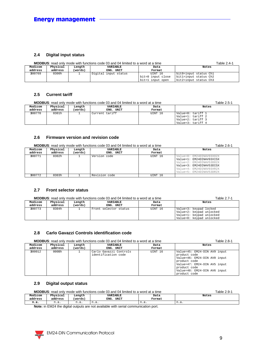#### **2.4 Digital input status**

|         | <b>MODBUS:</b> read only mode with functions code 03 and 04 limited to a word at a time | Table 2.4-1 |                      |                   |                       |
|---------|-----------------------------------------------------------------------------------------|-------------|----------------------|-------------------|-----------------------|
| Modicom | Physical                                                                                | Length      | VARIABLE             | Data              | Notes                 |
| address | address                                                                                 | (words)     | ENG. UNIT            | Format            |                       |
| 300769  | 0300h                                                                                   |             | Digital input status | UINT 16           | bit0=input status Ch1 |
|         |                                                                                         |             |                      | bit=0 input close | bitl=input status Ch2 |
|         |                                                                                         |             |                      | bit=1 input open  | bit2=input status Ch3 |

#### **2.5 Current tariff**

|         | <b>MODBUS:</b> read only mode with functions code 03 and 04 limited to a word at a time | Table 2.5-1 |                |         |                                                                                  |
|---------|-----------------------------------------------------------------------------------------|-------------|----------------|---------|----------------------------------------------------------------------------------|
| Modicom | Physical                                                                                | Length      | VARIABLE       | Data    | Notes                                                                            |
| address | address                                                                                 | (words)     | ENG. UNIT      | Format  |                                                                                  |
| 300770  | 0301h                                                                                   |             | Current tariff | UINT 16 | Value=0: tariff 1<br>Value=1: tariff 2<br>Value=2: tariff 3<br>Value=3: tariff 4 |

#### **2.6 Firmware version and revision code**

|         | <b>MODBUS:</b> read only mode with functions code 03 and 04 limited to a word at a time | Table 2.6-1 |               |         |                          |
|---------|-----------------------------------------------------------------------------------------|-------------|---------------|---------|--------------------------|
| Modicom | Physical                                                                                | Length      | VARIABLE      | Data    | Notes                    |
| address | address                                                                                 | (words)     | ENG. UNIT     | Format  |                          |
| 300771  | 0302h                                                                                   |             | Version code  | UINT 16 | Value=0: EM24DINAV93XO2X |
|         |                                                                                         |             |               |         | Value=1: EM24DINAV93XISX |
|         |                                                                                         |             |               |         | Value=2: EM24DINAV53D02X |
|         |                                                                                         |             |               |         | Value=3: EM24DINAV53DISX |
|         |                                                                                         |             |               |         | Value=4: EM24DINAV93XR2X |
|         |                                                                                         |             |               |         | Value=5: EM24DINAV53DR2X |
| 300772  | 0303h                                                                                   |             | Revision code | UINT 16 |                          |

#### **2.7 Front selector status**

|         | <b>MODBUS:</b> read only mode with functions code 03 and 04 limited to a word at a time | Table 2.7-1 |                       |         |                                                                                                            |
|---------|-----------------------------------------------------------------------------------------|-------------|-----------------------|---------|------------------------------------------------------------------------------------------------------------|
| Modicom | Physical                                                                                | Length      | VARIABLE              | Data    | Notes                                                                                                      |
| address | address                                                                                 | (words)     | ENG. UNIT             | Format  |                                                                                                            |
| 300773  | 0304h                                                                                   |             | Front selector status | UINT 16 | Value=3: keypad locked<br>Value=2: keypad unlocked<br>Value=1: keypad unlocked<br>Value=0: keypad unlocked |

#### **2.8 Carlo Gavazzi Controls identification code**

|                    | <b>MODBUS:</b> read only mode with functions code 03 and 04 limited to a word at a time | Table 2.8-1       |                                               |                |                                                                                                                                                                                              |
|--------------------|-----------------------------------------------------------------------------------------|-------------------|-----------------------------------------------|----------------|----------------------------------------------------------------------------------------------------------------------------------------------------------------------------------------------|
| Modicom<br>address | Physical<br>address                                                                     | Length<br>(words) | <b>VARIABLE</b><br>ENG. UNIT                  | Data<br>Format | Notes                                                                                                                                                                                        |
| 300012             | 000Bh                                                                                   |                   | Carlo Gavazzi Controls<br>identification code | UINT 16        | Value=45: EM24-DIN AV9 input<br>product code<br>Value=46: EM24-DIN AV0 input<br>product code<br>Value=47: EM24-DIN AV5 input<br>product code<br>Value=48: EM24-DIN AV6 input<br>product code |

#### **2.9 Digital output status**

|         | <b>MODBUS:</b> read only mode with functions code 03 and 04 limited to a word at a time | Table 2.9-1 |              |        |       |
|---------|-----------------------------------------------------------------------------------------|-------------|--------------|--------|-------|
| Modicom | Physical                                                                                | Length      | VARIABLE     | Data   | Notes |
| address | address                                                                                 | (words)     | ENG.<br>UNIT | Format |       |
| n.a.    | n.a.                                                                                    | n.a.        | n.a.         | n.a.   | n.a.  |

**Note:** in EM24 the digital outputs are not available with serial communication port.

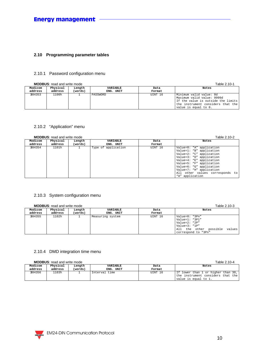#### **2.10 Programming parameter tables**

#### 2.10.1 Password configuration menu

**MODBUS**: read and write mode Table 2.10-1

|         | <b>NO DBUS.</b> Tead and write mode |         |           | Table 2.TU-T |                                                                                                                                                          |
|---------|-------------------------------------|---------|-----------|--------------|----------------------------------------------------------------------------------------------------------------------------------------------------------|
| Modicom | Physical                            | Length  | VARIABLE  | Data         | Notes                                                                                                                                                    |
| address | address                             | (words) | ENG. UNIT | Format       |                                                                                                                                                          |
| 304353  | 1100h                               |         | PASSWORD  | UINT 16      | Minimum valid value: 0d<br>Maximum valid value: 9999d<br>If the value is outside the limits<br>the instrument considers that the<br>value is equal to 0. |

#### 2.10.2 "Application" menu

#### **MODBUS**: read and write mode Table 2.10-2

|         | <b>INCLUSHI</b> NG AND MILLY HIDGE |         | $1$ GDIV $2.102$    |         |                                 |
|---------|------------------------------------|---------|---------------------|---------|---------------------------------|
| Modicom | Physical                           | Length  | VARIABLE            | Data    | Notes                           |
| address | address                            | (words) | ENG. UNIT           | Format  |                                 |
| 304354  | 1101h                              |         | Type of application | UINT 16 | Value=0: "A" application        |
|         |                                    |         |                     |         | Value=1: "B" application        |
|         |                                    |         |                     |         | Value=2: "C" application        |
|         |                                    |         |                     |         | Value=3: "D" application        |
|         |                                    |         |                     |         | Value=4: "E" application        |
|         |                                    |         |                     |         | Value=5: "F" application        |
|         |                                    |         |                     |         | Value=6: "G" application        |
|         |                                    |         |                     |         | Value=7: "H" application        |
|         |                                    |         |                     |         | All other values corresponds to |
|         |                                    |         |                     |         | "A" application                 |

#### 2.10.3 System configuration menu

#### **MODBUS**: read and write mode Table 2.10-3

|         | <b>MODBUS</b> : read and write mode | Table 2.10-3 |                  |         |                                                                                                                               |
|---------|-------------------------------------|--------------|------------------|---------|-------------------------------------------------------------------------------------------------------------------------------|
| Modicom | Physical                            | Length       | <b>VARIABLE</b>  | Data    | Notes                                                                                                                         |
| address | address                             | (words)      | ENG. UNIT        | Format  |                                                                                                                               |
| 304355  | 1102h                               |              | Measuring system | UINT 16 | Value=0: "3Pn"<br>Value=1: "3P1"<br>Value=2: "2P"<br>Value= $3: "1P"$<br>All the other possible values<br>correspond to "3Pn" |

#### 2.10.4 DMD integration time menu

**MODBUS:** read and write mode Table 2.10-4

| Modicom | Physical | Lenath  | <b>VARIABLE</b> | Data    | Notes                                                                                             |
|---------|----------|---------|-----------------|---------|---------------------------------------------------------------------------------------------------|
| address | address  | (words) | ENG. UNIT       | Format  |                                                                                                   |
| 304356  | 103h     |         | Interval time   | UINT 16 | If lower than 1 or higher than 30,  <br>the instrument considers that the<br>value is equal to 1. |

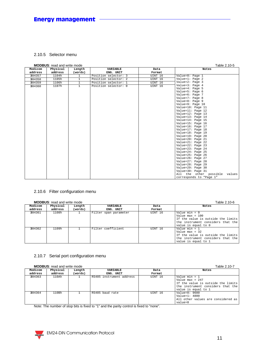#### 2.10.5 Selector menu

#### **MODBUS**: read and write mode Table 2.10-5

| Modicom | <b>NO DO S.</b> Tead and Write House<br>Physical | Length         | VARIABLE             | Data    | $I$ avic $I$ . $I$ $U$ - $J$<br>Notes |
|---------|--------------------------------------------------|----------------|----------------------|---------|---------------------------------------|
| address | address                                          | (words)        | ENG. UNIT            | Format  |                                       |
| 304357  | 1104h                                            | $\mathbf{1}$   | Position selector: 3 | UINT 16 | Value=0: Page 1                       |
| 304358  | 1105h                                            | $\mathbf{1}$   | Position selector: 2 | UINT 16 | Value=1: Page 2                       |
| 304359  | 1106h                                            | $\overline{1}$ | Position selector: 1 | UINT 16 | Value=2: Page 3                       |
|         |                                                  | $\mathbf{1}$   |                      | UINT 16 | Value=3: Page 4                       |
| 304360  | 1107h                                            |                | Position selector: 0 |         | Value=4: Page 5                       |
|         |                                                  |                |                      |         | Value=5: Page 6                       |
|         |                                                  |                |                      |         | Value=6: Page 7                       |
|         |                                                  |                |                      |         | Value=7: Page 8                       |
|         |                                                  |                |                      |         | Value=8: Page 9                       |
|         |                                                  |                |                      |         | Value=9: Page 10                      |
|         |                                                  |                |                      |         | Value=10: Page 11                     |
|         |                                                  |                |                      |         | Value=11: Page 12                     |
|         |                                                  |                |                      |         | Value=12: Page 13                     |
|         |                                                  |                |                      |         | Value=13: Page 14                     |
|         |                                                  |                |                      |         | Value=14: Page 15                     |
|         |                                                  |                |                      |         | Value=15: Page 16                     |
|         |                                                  |                |                      |         | Value=16: Page 17                     |
|         |                                                  |                |                      |         | Value=17: Page 18                     |
|         |                                                  |                |                      |         | Value=18: Page 19                     |
|         |                                                  |                |                      |         | Value=19: Page 20                     |
|         |                                                  |                |                      |         | Value=20: Page 21                     |
|         |                                                  |                |                      |         | Value=21: Page 22                     |
|         |                                                  |                |                      |         | Value=22: Page 23                     |
|         |                                                  |                |                      |         | Value=23: Page 24                     |
|         |                                                  |                |                      |         | Value=24: Page 25                     |
|         |                                                  |                |                      |         | Value=25: Page 26                     |
|         |                                                  |                |                      |         | Value=26: Page 27                     |
|         |                                                  |                |                      |         | Value=27: Page 28                     |
|         |                                                  |                |                      |         | Value=28: Page 29                     |
|         |                                                  |                |                      |         | Value=29: Page 30                     |
|         |                                                  |                |                      |         | Value=30: Page 31                     |
|         |                                                  |                |                      |         | All the other possible values         |
|         |                                                  |                |                      |         |                                       |

#### 2.10.6 Filter configuration menu

#### **MODBUS**: read and write mode Table 2.10-6

|         | <b>MODBUS.</b> IGAY AND WHIGHTOUGH | Table 2.TU-0 |                       |         |                                                                                                                                        |
|---------|------------------------------------|--------------|-----------------------|---------|----------------------------------------------------------------------------------------------------------------------------------------|
| Modicom | Physical                           | Length       | VARIABLE              | Data    | Notes                                                                                                                                  |
| address | address                            | (words)      | ENG. UNIT             | Format  |                                                                                                                                        |
| 304361  | 1108h                              |              | Filter span parameter | UINT 16 | Value min = $0$<br>Value $max = 100$<br>If the value is outside the limits<br>the instrument considers that the<br>value is equal to 0 |
| 304362  | 1109h                              |              | Filter coefficient    | UINT 16 | Value min = $1$<br>Value max = $32$<br>If the value is outside the limits<br>the instrument considers that the<br>value is equal to 1  |

#### 2.10.7 Serial port configuration menu

|         | <b>MODBUS:</b> read and write mode | Table 2.10-7 |                          |         |                                    |
|---------|------------------------------------|--------------|--------------------------|---------|------------------------------------|
| Modicom | Physical                           | Length       | <b>VARIABLE</b>          | Data    | Notes                              |
| address | address                            | (words)      | ENG. UNIT                | Format  |                                    |
| 304363  | 110Ah                              |              | RS485 instrument address | UINT 16 | Value min = $1$                    |
|         |                                    |              |                          |         | Value max = $247$                  |
|         |                                    |              |                          |         | If the value is outside the limits |
|         |                                    |              |                          |         | the instrument considers that the  |
|         |                                    |              |                          |         | value is equal to 1                |
| 304364  | 110Bh                              |              | RS485 baud rate          | UINT 16 | $Value=0:9600$                     |
|         |                                    |              |                          |         | Value= $1:4800$                    |
|         |                                    |              |                          |         | All other values are considered as |
|         |                                    |              |                          |         | value=0                            |

Note: The number of stop bits is fixed to "1" and the parity control is fixed to "none".

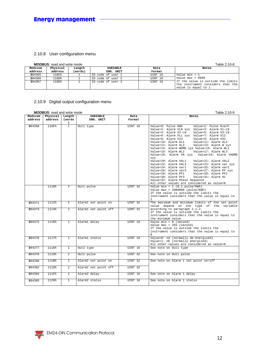#### 2.10.8 User configuration menu

#### **MODBUS**: read and write mode Table 2.10-8

|         | <b>NODBUS.</b> I cay and write mode |         |                   |         | TADIE Z.TU-0                                                                                   |
|---------|-------------------------------------|---------|-------------------|---------|------------------------------------------------------------------------------------------------|
| Modicom | Physical                            | Length  | <b>VARIABLE</b>   | Data    | Notes                                                                                          |
| address | address                             | (words) | ENG. UNIT         | Format  |                                                                                                |
| 304365  | $110$ Ch                            |         | ID code of user 1 | UINT 16 | Value min = 1                                                                                  |
| 304366  | 110Dh                               |         | ID code of user 2 | UINT 16 | Value max = $9999$                                                                             |
| 304367  | 110Eh                               |         | ID code of user 3 | UINT 16 | If the value is outside the limits<br>the instrument considers that the<br>value is equal to 1 |

#### 2.10.9 Digital output configuration menu

| <b>MODBUS:</b> read and write mode<br>Table 2.10-9 |          |                             |                      |         |                                                                                                                                                                                                                                                                                                                                                                                                                                                                                                                                                                                                                                                                                                                                                                                                                            |  |  |  |  |  |
|----------------------------------------------------|----------|-----------------------------|----------------------|---------|----------------------------------------------------------------------------------------------------------------------------------------------------------------------------------------------------------------------------------------------------------------------------------------------------------------------------------------------------------------------------------------------------------------------------------------------------------------------------------------------------------------------------------------------------------------------------------------------------------------------------------------------------------------------------------------------------------------------------------------------------------------------------------------------------------------------------|--|--|--|--|--|
| Modicom                                            | Physical | Length                      | <b>VARIABLE</b>      | Data    | <b>Notes</b>                                                                                                                                                                                                                                                                                                                                                                                                                                                                                                                                                                                                                                                                                                                                                                                                               |  |  |  |  |  |
| address                                            | address  | (words                      | ENG. UNIT            | Format  |                                                                                                                                                                                                                                                                                                                                                                                                                                                                                                                                                                                                                                                                                                                                                                                                                            |  |  |  |  |  |
| 304368                                             | 110Fh    | $\lambda$<br>$\overline{1}$ | Out1 type            | UINT 16 | Value=0: Pulse KWh<br>Value=1: Pulse Kvarh<br>Value=2: Alarm VLN sys Value=3: Alarm V1-LN<br>Value=4: Alarm V2-LN<br>Value=5: Alarm V3-LN<br>Value=6: Alarm VLL sys Value=7: Alarm V12<br>Value=8: Alarm V23<br>Value=9: Alarm V31<br>Value=10: Alarm AL1<br>Value=11: Alarm AL2<br>Value=12: Alarm AL3<br>Value=13: Alarm W sys<br>Value=14: Alarm WDMD sys Value=15: Alarm WL1<br>Value=16: Alarm WL2<br>Value=17: Alarm WL3<br>Value=18: Alarm VA sys<br>Value=19: Alarm VADMD<br>sys<br>Value=20: Alarm VAL1<br>Value=21: Alarm VAL2<br>Value=22: Alarm VAL3<br>Value=23: Alarm var sys<br>Value=24: Alarm var1<br>Value=25: Alarm var2<br>Value=26: Alarm var3<br>Value=27: Alarm PF sys<br>Value=28: Alarm PF1<br>Value=29: Alarm PF2<br>Value=30: Alarm PF3<br>Value=31: Alarm Hz<br>Value=32: Alarm Phase Sequence |  |  |  |  |  |
|                                                    | 1110h    | $\overline{a}$              | Outl pulse           | UINT 32 | All other values are considered as value=0<br>Value min = $1$ (0,1 pulse/KWh)<br>Value $max = 1000000$ (pulse/KWh)<br>If the value is outside the limits the<br>instrument considers that the value is equal to<br>$\mathbf{1}$                                                                                                                                                                                                                                                                                                                                                                                                                                                                                                                                                                                            |  |  |  |  |  |
| 304371                                             | 1112h    | $\overline{2}$              | Alarml set point on  | UINT 32 | The maximum and minimum limits of the set point<br>value depend on the type of the variable                                                                                                                                                                                                                                                                                                                                                                                                                                                                                                                                                                                                                                                                                                                                |  |  |  |  |  |
| 304373                                             | 1114h    | $\overline{2}$              | Alarm1 set point off | UINT 32 | according to paragraph 2.1.2.<br>If the value is outside the limits the<br>instrument considers that the value is equal to<br>the minimum value                                                                                                                                                                                                                                                                                                                                                                                                                                                                                                                                                                                                                                                                            |  |  |  |  |  |
| 304375                                             | 1116h    | $\mathbf{1}$                | Alarm1 delay         | UTNT 16 | Value min = $0$ (second)<br>Value $max = 255$ (second)<br>If the value is outside the limits the<br>instrument considers that the value is equal to                                                                                                                                                                                                                                                                                                                                                                                                                                                                                                                                                                                                                                                                        |  |  |  |  |  |
| 304376                                             | 1117h    | $\overline{1}$              | Alarm1 status        | UINT 16 | Value=0: nd (normally de-energised)<br>Value=1: nE (normally energised)<br>All other values are considered as value=0                                                                                                                                                                                                                                                                                                                                                                                                                                                                                                                                                                                                                                                                                                      |  |  |  |  |  |
| 304377                                             | 1118h    | $\overline{1}$              | Out2 type            | UINT 16 | See note on Out1 type                                                                                                                                                                                                                                                                                                                                                                                                                                                                                                                                                                                                                                                                                                                                                                                                      |  |  |  |  |  |
| 304378                                             | 1119h    | $\overline{a}$              | Out2 pulse           | UINT 32 | See note on Outl pulse                                                                                                                                                                                                                                                                                                                                                                                                                                                                                                                                                                                                                                                                                                                                                                                                     |  |  |  |  |  |
| 304380                                             | 111Bh    | $\overline{a}$              | Alarm2 set point on  | UINT 32 | See note on Alarm 1 set point on/off                                                                                                                                                                                                                                                                                                                                                                                                                                                                                                                                                                                                                                                                                                                                                                                       |  |  |  |  |  |
| 304382                                             | 111Dh    | $\overline{2}$              | Alarm2 set point off | UINT 32 |                                                                                                                                                                                                                                                                                                                                                                                                                                                                                                                                                                                                                                                                                                                                                                                                                            |  |  |  |  |  |
| 304384                                             | 111Fh    | $\mathbf{1}$                | Alarm2 delay         | UTNT 16 | See note on Alarm 1 delay                                                                                                                                                                                                                                                                                                                                                                                                                                                                                                                                                                                                                                                                                                                                                                                                  |  |  |  |  |  |
| 304385                                             | 1120h    | $\mathbf{1}$                | Alarm2 status        | UINT 16 | See note on Alarm 1 status                                                                                                                                                                                                                                                                                                                                                                                                                                                                                                                                                                                                                                                                                                                                                                                                 |  |  |  |  |  |

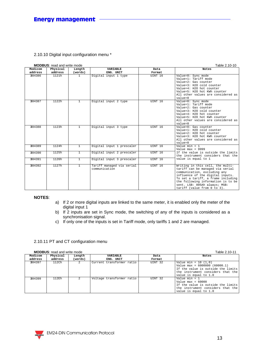#### 2.10.10 Digital input configuration menu \*

|                    | <b>MODBUS:</b> read and write mode | Table 2.10-10     |                                            |                |                                                                                                                                                                                                                                                                                      |
|--------------------|------------------------------------|-------------------|--------------------------------------------|----------------|--------------------------------------------------------------------------------------------------------------------------------------------------------------------------------------------------------------------------------------------------------------------------------------|
| Modicom<br>address | Physical<br>address                | Length<br>(words) | <b>VARIABLE</b><br>ENG. UNIT               | Data<br>Format | <b>Notes</b>                                                                                                                                                                                                                                                                         |
| 304386             | 1121h                              | $\mathbf{1}$      | Digital input 1 type                       | UINT 16        | Value=0: Sync mode<br>Value=1: Tariff mode<br>Value=2: Gas counter<br>Value=3: H2O cold counter<br>Value=4: H2O hot counter<br>Value=5: H2O hot KWh counter<br>All other values are considered as<br>$value = 0$                                                                     |
| 304387             | 1122h                              | $\mathbf{1}$      | Digital input 2 type                       | UINT 16        | Value=0: Sync mode<br>Value=1: Tariff mode<br>Value=2: Gas counter<br>Value=3: H2O cold counter<br>Value=4: H2O hot counter<br>Value=5: H2O hot KWh counter<br>All other values are considered as<br>value=0                                                                         |
| 304388             | 1123h                              | $\overline{1}$    | Digital input 3 type                       | UINT 16        | Value=0: Gas counter<br>Value=1: H2O cold counter<br>Value=2: H2O hot counter<br>Value=3: H2O hot KWh counter<br>All other values are considered as<br>$value=0$                                                                                                                     |
| 304389             | 1124h                              | $\overline{1}$    | Digital input 1 prescaler                  | UINT 16        | Value $min = 1$<br>Value max = $9999$                                                                                                                                                                                                                                                |
| 304390             | 1125h                              | $\overline{1}$    | Digital input 2 prescaler                  | UINT 16        | If the value is outside the limits<br>the instrument considers that the                                                                                                                                                                                                              |
| 304391             | 1126h                              | $\mathbf{1}$      | Digital input 3 prescaler                  | UINT 16        | value is equal to 1                                                                                                                                                                                                                                                                  |
| 304392             | 1127h                              | $\mathbf{1}$      | Tariff managed via serial<br>communication | UINT 16        | Writing in this cell, the multi-<br>tariff can be managed via serial<br>communication, excluding any<br>influence of the digital inputs.<br>To set a tariff, a frame including<br>the following information is to be<br>sent. LSB: 005Ah always; MSB:<br>tariff (value from 0 to 3). |

#### **NOTES**:

- a) If 2 or more digital inputs are linked to the same meter, it is enabled only the meter of the digital input 1
- b) If 2 inputs are set in Sync mode, the switching of any of the inputs is considered as a synchronisation signal.
- c) If only one of the inputs is set in Tariff mode, only tariffs 1 and 2 are managed.

#### 2.10.11 PT and CT configuration menu

|         | <b>MODBUS:</b> read and write mode |         |                           | Table 2.10-11 |                                                                                                                                                                 |
|---------|------------------------------------|---------|---------------------------|---------------|-----------------------------------------------------------------------------------------------------------------------------------------------------------------|
| Modicom | Physical                           | Length  | VARIABLE                  | Data          | Notes                                                                                                                                                           |
| address | address                            | (words) | ENG. UNIT                 | Format        |                                                                                                                                                                 |
| 304397  | 112Ch                              |         | Current transformer ratio | UINT 32       | Value min = $10$ $(1.0)$<br>Value max = $6000000 (60000.1)$<br>If the value is outside the limits<br>the instrument considers that the<br>value is equal to 1.0 |
| 304399  | 112Eh                              |         | Voltage transformer ratio | UINT 32       | Value min = $1$<br>Value $max = 60000$<br>If the value is outside the limits<br>the instrument considers that the<br>value is equal to 1.0                      |